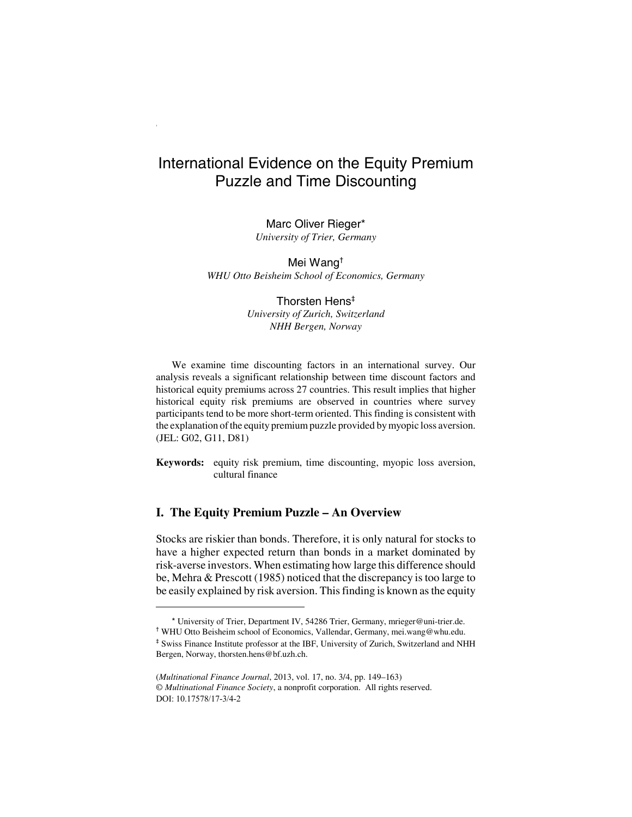# International Evidence on the Equity Premium Puzzle and Time Discounting

Marc Oliver Rieger\* *University of Trier, Germany*

Mei Wang† *WHU Otto Beisheim School of Economics, Germany*

> Thorsten Hens‡ *University of Zurich, Switzerland NHH Bergen, Norway*

We examine time discounting factors in an international survey. Our analysis reveals a significant relationship between time discount factors and historical equity premiums across 27 countries. This result implies that higher historical equity risk premiums are observed in countries where survey participants tend to be more short-term oriented. This finding is consistent with the explanation of the equity premium puzzle provided by myopic loss aversion. (JEL: G02, G11, D81)

**Keywords:** equity risk premium, time discounting, myopic loss aversion, cultural finance

## **I. The Equity Premium Puzzle – An Overview**

Stocks are riskier than bonds. Therefore, it is only natural for stocks to have a higher expected return than bonds in a market dominated by risk-averse investors. When estimating how large this difference should be, Mehra & Prescott (1985) noticed that the discrepancy is too large to be easily explained by risk aversion. This finding is known as the equity

<sup>\*</sup> University of Trier, Department IV, 54286 Trier, Germany, mrieger@uni-trier.de.

<sup>†</sup> WHU Otto Beisheim school of Economics, Vallendar, Germany, mei.wang@whu.edu.

<sup>‡</sup> Swiss Finance Institute professor at the IBF, University of Zurich, Switzerland and NHH Bergen, Norway, thorsten.hens@bf.uzh.ch.

<sup>(</sup>*Multinational Finance Journal*, 2013, vol. 17, no. 3/4, pp. 149–163) © *Multinational Finance Society*, a nonprofit corporation. All rights reserved. DOI: 10.17578/17-3/4-2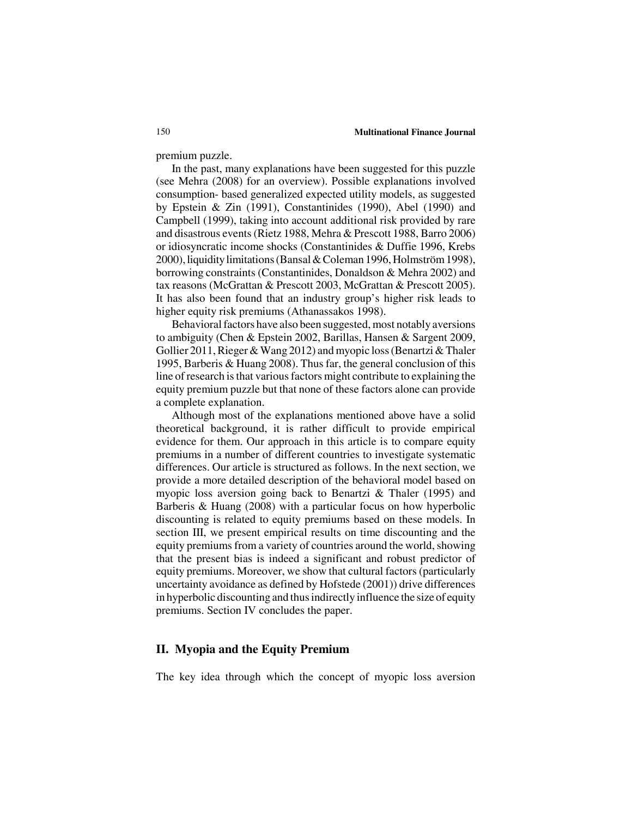#### 150 **Multinational Finance Journal**

premium puzzle.

In the past, many explanations have been suggested for this puzzle (see Mehra (2008) for an overview). Possible explanations involved consumption- based generalized expected utility models, as suggested by Epstein & Zin (1991), Constantinides (1990), Abel (1990) and Campbell (1999), taking into account additional risk provided by rare and disastrous events (Rietz 1988, Mehra & Prescott 1988, Barro 2006) or idiosyncratic income shocks (Constantinides & Duffie 1996, Krebs 2000), liquidity limitations (Bansal & Coleman 1996, Holmström 1998), borrowing constraints (Constantinides, Donaldson & Mehra 2002) and tax reasons (McGrattan & Prescott 2003, McGrattan & Prescott 2005). It has also been found that an industry group's higher risk leads to higher equity risk premiums (Athanassakos 1998).

Behavioral factors have also been suggested, most notably aversions to ambiguity (Chen & Epstein 2002, Barillas, Hansen & Sargent 2009, Gollier 2011, Rieger & Wang 2012) and myopic loss (Benartzi & Thaler 1995, Barberis & Huang 2008). Thus far, the general conclusion of this line of research is that various factors might contribute to explaining the equity premium puzzle but that none of these factors alone can provide a complete explanation.

Although most of the explanations mentioned above have a solid theoretical background, it is rather difficult to provide empirical evidence for them. Our approach in this article is to compare equity premiums in a number of different countries to investigate systematic differences. Our article is structured as follows. In the next section, we provide a more detailed description of the behavioral model based on myopic loss aversion going back to Benartzi & Thaler (1995) and Barberis & Huang (2008) with a particular focus on how hyperbolic discounting is related to equity premiums based on these models. In section III, we present empirical results on time discounting and the equity premiums from a variety of countries around the world, showing that the present bias is indeed a significant and robust predictor of equity premiums. Moreover, we show that cultural factors (particularly uncertainty avoidance as defined by Hofstede (2001)) drive differences in hyperbolic discounting and thus indirectly influence the size of equity premiums. Section IV concludes the paper.

# **II. Myopia and the Equity Premium**

The key idea through which the concept of myopic loss aversion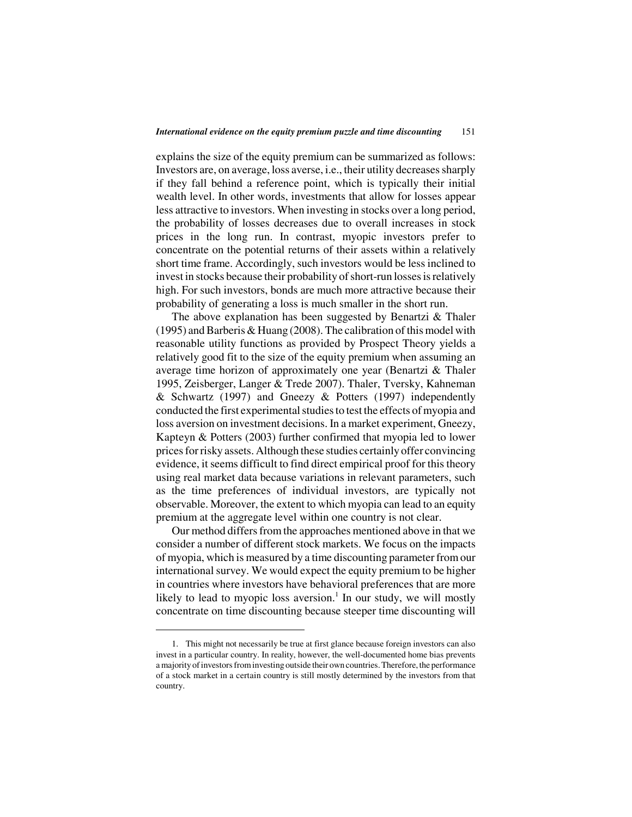explains the size of the equity premium can be summarized as follows: Investors are, on average, loss averse, i.e., their utility decreases sharply if they fall behind a reference point, which is typically their initial wealth level. In other words, investments that allow for losses appear less attractive to investors. When investing in stocks over a long period, the probability of losses decreases due to overall increases in stock prices in the long run. In contrast, myopic investors prefer to concentrate on the potential returns of their assets within a relatively short time frame. Accordingly, such investors would be less inclined to invest in stocks because their probability of short-run losses is relatively high. For such investors, bonds are much more attractive because their probability of generating a loss is much smaller in the short run.

The above explanation has been suggested by Benartzi  $&$  Thaler (1995) and Barberis & Huang (2008). The calibration of this model with reasonable utility functions as provided by Prospect Theory yields a relatively good fit to the size of the equity premium when assuming an average time horizon of approximately one year (Benartzi & Thaler 1995, Zeisberger, Langer & Trede 2007). Thaler, Tversky, Kahneman & Schwartz (1997) and Gneezy & Potters (1997) independently conducted the first experimental studies to test the effects of myopia and loss aversion on investment decisions. In a market experiment, Gneezy, Kapteyn & Potters (2003) further confirmed that myopia led to lower prices for risky assets. Although these studies certainly offer convincing evidence, it seems difficult to find direct empirical proof for this theory using real market data because variations in relevant parameters, such as the time preferences of individual investors, are typically not observable. Moreover, the extent to which myopia can lead to an equity premium at the aggregate level within one country is not clear.

Our method differs from the approaches mentioned above in that we consider a number of different stock markets. We focus on the impacts of myopia, which is measured by a time discounting parameter from our international survey. We would expect the equity premium to be higher in countries where investors have behavioral preferences that are more likely to lead to myopic loss aversion.<sup>1</sup> In our study, we will mostly concentrate on time discounting because steeper time discounting will

<sup>1.</sup> This might not necessarily be true at first glance because foreign investors can also invest in a particular country. In reality, however, the well-documented home bias prevents a majority of investors from investing outside their own countries. Therefore, the performance of a stock market in a certain country is still mostly determined by the investors from that country.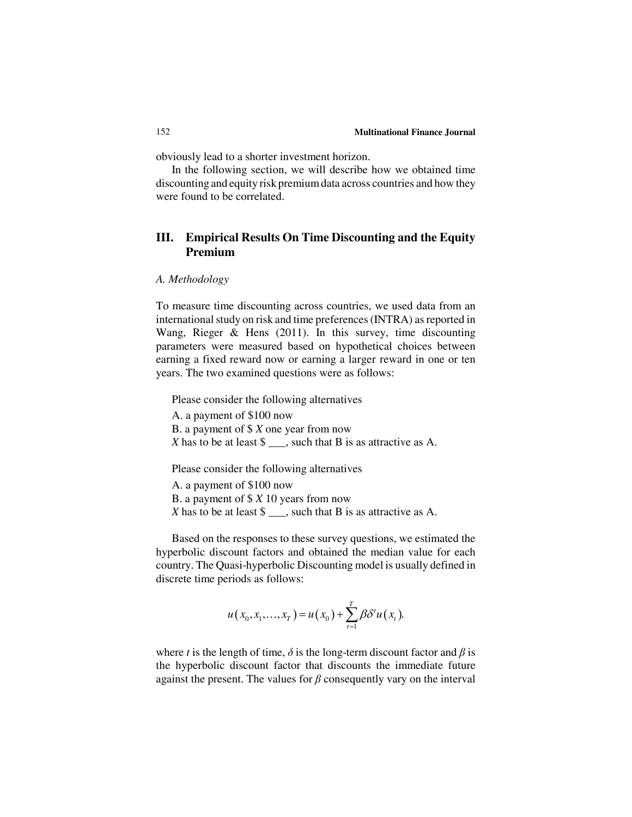obviously lead to a shorter investment horizon.

In the following section, we will describe how we obtained time discounting and equity risk premium data across countries and how they were found to be correlated.

# **III. Empirical Results On Time Discounting and the Equity Premium**

*A. Methodology*

To measure time discounting across countries, we used data from an international study on risk and time preferences (INTRA) as reported in Wang, Rieger & Hens (2011). In this survey, time discounting parameters were measured based on hypothetical choices between earning a fixed reward now or earning a larger reward in one or ten years. The two examined questions were as follows:

Please consider the following alternatives

A. a payment of \$100 now B. a payment of \$ *X* one year from now *X* has to be at least  $\frac{1}{2}$ , such that B is as attractive as A.

Please consider the following alternatives

A. a payment of \$100 now B. a payment of \$ *X* 10 years from now *X* has to be at least  $\frac{1}{2}$ , such that B is as attractive as A.

Based on the responses to these survey questions, we estimated the hyperbolic discount factors and obtained the median value for each country. The Quasi-hyperbolic Discounting model is usually defined in discrete time periods as follows:

$$
u(x_0, x_1,...,x_T) = u(x_0) + \sum_{t=1}^{T} \beta \delta^t u(x_t).
$$

where *t* is the length of time,  $\delta$  is the long-term discount factor and  $\beta$  is the hyperbolic discount factor that discounts the immediate future against the present. The values for  $\beta$  consequently vary on the interval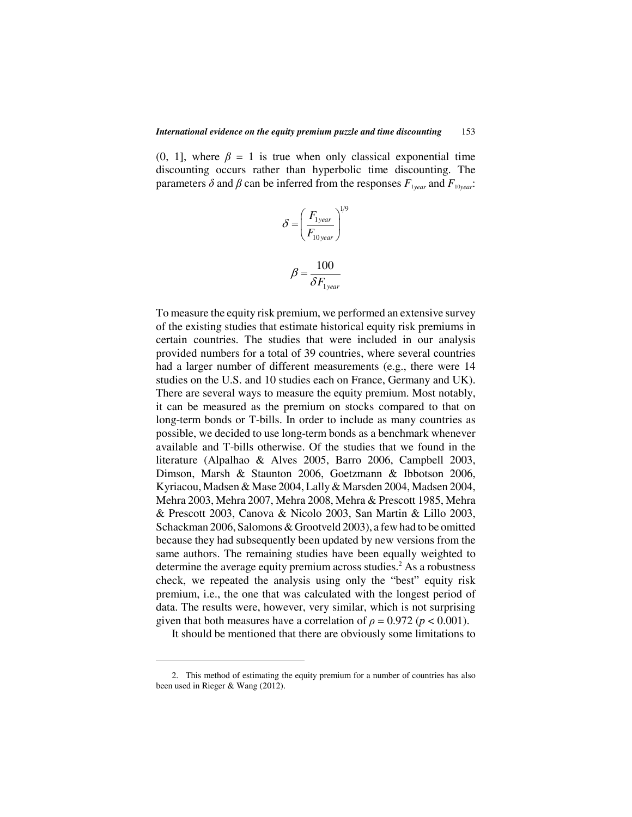### *International evidence on the equity premium puzzle and time discounting* 153

(0, 1], where  $\beta = 1$  is true when only classical exponential time discounting occurs rather than hyperbolic time discounting. The parameters  $\delta$  and  $\beta$  can be inferred from the responses  $F_{1 \text{year}}$  and  $F_{10 \text{year}}$ .

$$
\delta = \left(\frac{F_{1,year}}{F_{10,year}}\right)^{1/9}
$$

$$
\beta = \frac{100}{\delta F_{1,year}}
$$

To measure the equity risk premium, we performed an extensive survey of the existing studies that estimate historical equity risk premiums in certain countries. The studies that were included in our analysis provided numbers for a total of 39 countries, where several countries had a larger number of different measurements (e.g., there were 14 studies on the U.S. and 10 studies each on France, Germany and UK). There are several ways to measure the equity premium. Most notably, it can be measured as the premium on stocks compared to that on long-term bonds or T-bills. In order to include as many countries as possible, we decided to use long-term bonds as a benchmark whenever available and T-bills otherwise. Of the studies that we found in the literature (Alpalhao & Alves 2005, Barro 2006, Campbell 2003, Dimson, Marsh & Staunton 2006, Goetzmann & Ibbotson 2006, Kyriacou, Madsen & Mase 2004, Lally & Marsden 2004, Madsen 2004, Mehra 2003, Mehra 2007, Mehra 2008, Mehra & Prescott 1985, Mehra & Prescott 2003, Canova & Nicolo 2003, San Martin & Lillo 2003, Schackman 2006, Salomons & Grootveld 2003), a few had to be omitted because they had subsequently been updated by new versions from the same authors. The remaining studies have been equally weighted to determine the average equity premium across studies.<sup>2</sup> As a robustness check, we repeated the analysis using only the "best" equity risk premium, i.e., the one that was calculated with the longest period of data. The results were, however, very similar, which is not surprising given that both measures have a correlation of  $\rho = 0.972$  ( $p < 0.001$ ).

It should be mentioned that there are obviously some limitations to

<sup>2.</sup> This method of estimating the equity premium for a number of countries has also been used in Rieger & Wang (2012).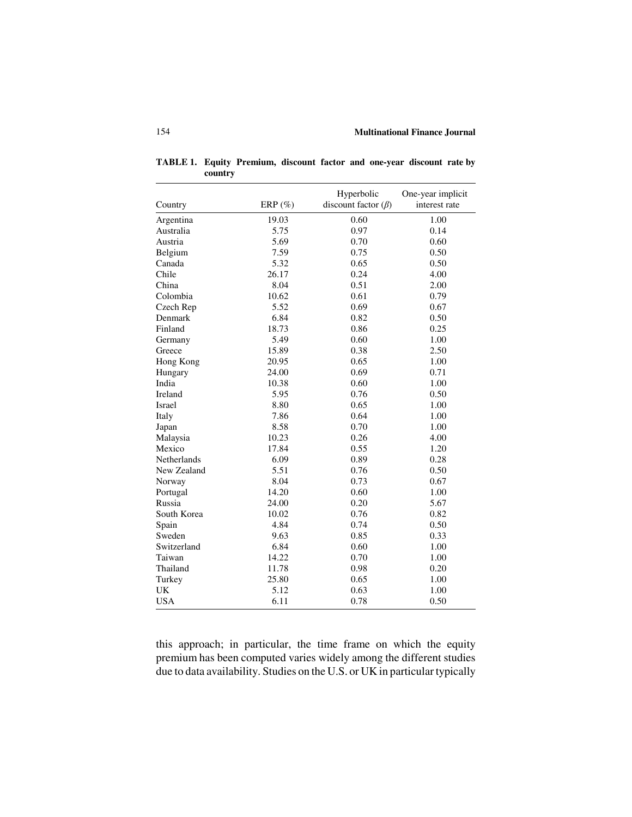| Country     | ERP $(\% )$ | Hyperbolic<br>discount factor $(\beta)$ | One-year implicit<br>interest rate |
|-------------|-------------|-----------------------------------------|------------------------------------|
| Argentina   | 19.03       | 0.60                                    | 1.00                               |
| Australia   | 5.75        | 0.97                                    | 0.14                               |
| Austria     | 5.69        | 0.70                                    | 0.60                               |
| Belgium     | 7.59        | 0.75                                    | 0.50                               |
| Canada      | 5.32        | 0.65                                    | 0.50                               |
| Chile       | 26.17       | 0.24                                    | 4.00                               |
| China       | 8.04        | 0.51                                    | 2.00                               |
| Colombia    | 10.62       | 0.61                                    | 0.79                               |
| Czech Rep   | 5.52        | 0.69                                    | 0.67                               |
| Denmark     | 6.84        | 0.82                                    | 0.50                               |
| Finland     | 18.73       | 0.86                                    | 0.25                               |
| Germany     | 5.49        | 0.60                                    | 1.00                               |
| Greece      | 15.89       | 0.38                                    | 2.50                               |
| Hong Kong   | 20.95       | 0.65                                    | 1.00                               |
| Hungary     | 24.00       | 0.69                                    | 0.71                               |
| India       | 10.38       | 0.60                                    | 1.00                               |
| Ireland     | 5.95        | 0.76                                    | 0.50                               |
| Israel      | 8.80        | 0.65                                    | 1.00                               |
| Italy       | 7.86        | 0.64                                    | 1.00                               |
| Japan       | 8.58        | 0.70                                    | 1.00                               |
| Malaysia    | 10.23       | 0.26                                    | 4.00                               |
| Mexico      | 17.84       | 0.55                                    | 1.20                               |
| Netherlands | 6.09        | 0.89                                    | 0.28                               |
| New Zealand | 5.51        | 0.76                                    | 0.50                               |
| Norway      | 8.04        | 0.73                                    | 0.67                               |
| Portugal    | 14.20       | 0.60                                    | 1.00                               |
| Russia      | 24.00       | 0.20                                    | 5.67                               |
| South Korea | 10.02       | 0.76                                    | 0.82                               |
| Spain       | 4.84        | 0.74                                    | 0.50                               |
| Sweden      | 9.63        | 0.85                                    | 0.33                               |
| Switzerland | 6.84        | 0.60                                    | 1.00                               |
| Taiwan      | 14.22       | 0.70                                    | 1.00                               |
| Thailand    | 11.78       | 0.98                                    | 0.20                               |
| Turkey      | 25.80       | 0.65                                    | 1.00                               |
| UK          | 5.12        | 0.63                                    | 1.00                               |
| <b>USA</b>  | 6.11        | 0.78                                    | 0.50                               |

**TABLE 1. Equity Premium, discount factor and one-year discount rate by country**

this approach; in particular, the time frame on which the equity premium has been computed varies widely among the different studies due to data availability. Studies on the U.S. or UK in particular typically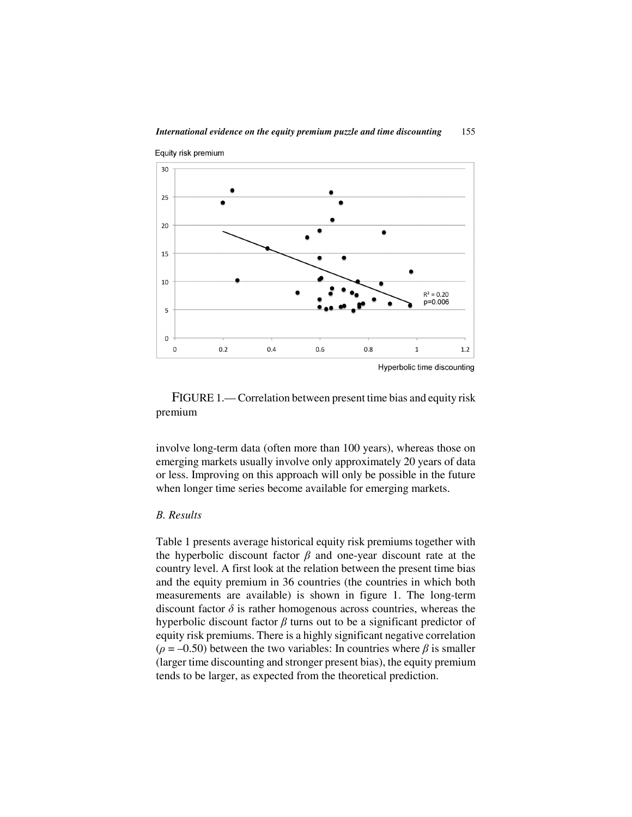#### *International evidence on the equity premium puzzle and time discounting* 155



Equity risk premium

FIGURE 1.— Correlation between present time bias and equity risk premium

involve long-term data (often more than 100 years), whereas those on emerging markets usually involve only approximately 20 years of data or less. Improving on this approach will only be possible in the future when longer time series become available for emerging markets.

## *Β. Results*

Table 1 presents average historical equity risk premiums together with the hyperbolic discount factor  $\beta$  and one-year discount rate at the country level. A first look at the relation between the present time bias and the equity premium in 36 countries (the countries in which both measurements are available) is shown in figure 1. The long-term discount factor  $\delta$  is rather homogenous across countries, whereas the hyperbolic discount factor *β* turns out to be a significant predictor of equity risk premiums. There is a highly significant negative correlation ( $\rho = -0.50$ ) between the two variables: In countries where  $\beta$  is smaller (larger time discounting and stronger present bias), the equity premium tends to be larger, as expected from the theoretical prediction.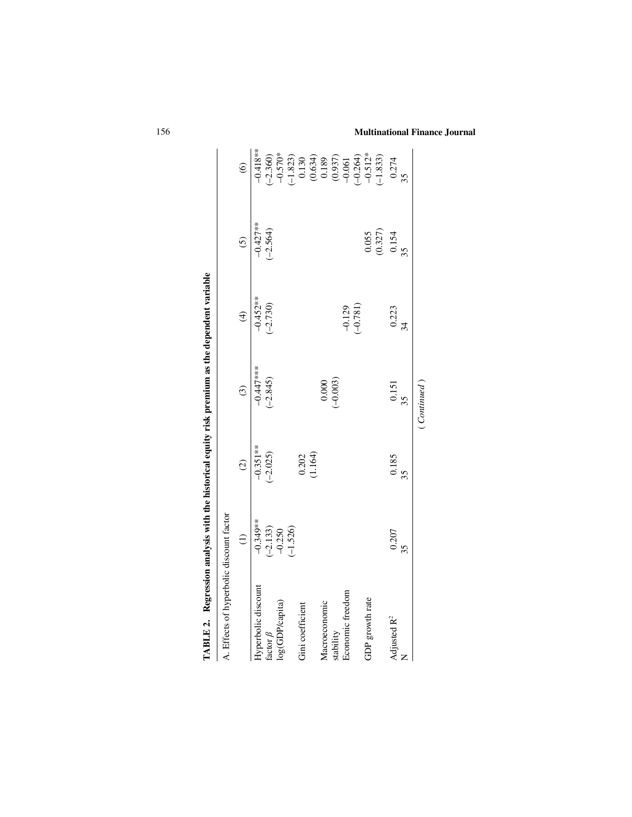| TABLE 2. Regression analysis with the historical equity risk premium as the dependent variable |                                      |                    |                     |             |            |                                                                                                                                 |
|------------------------------------------------------------------------------------------------|--------------------------------------|--------------------|---------------------|-------------|------------|---------------------------------------------------------------------------------------------------------------------------------|
| A. Effects of hyperbolic discount factor                                                       |                                      |                    |                     |             |            |                                                                                                                                 |
|                                                                                                | $\widehat{z}$                        | $\widehat{c}$      | $\overline{c}$      | $\bigoplus$ | $\odot$    | $\circledcirc$                                                                                                                  |
| Hyperbolic discount                                                                            | $-0.349**$                           | $-0.351**$         | $-0.447$ ***        | $-0.452**$  | $-0.427**$ | $-0.418**$                                                                                                                      |
| factor $\beta$                                                                                 |                                      | $(-2.025)$         | $(-2.845)$          | $(-2.730)$  | $(-2.564)$ |                                                                                                                                 |
| log(GDP/capita)                                                                                | $(-2.133)$<br>$-0.250$<br>$(-1.526)$ |                    |                     |             |            |                                                                                                                                 |
|                                                                                                |                                      |                    |                     |             |            |                                                                                                                                 |
| Gini coefficient                                                                               |                                      |                    |                     |             |            |                                                                                                                                 |
|                                                                                                |                                      | $0.202$<br>(1.164) |                     |             |            |                                                                                                                                 |
| Macroeconomic                                                                                  |                                      |                    |                     |             |            |                                                                                                                                 |
| stability                                                                                      |                                      |                    | $0.000$<br>(-0.003) |             |            |                                                                                                                                 |
| Economic freedom                                                                               |                                      |                    |                     | $-0.129$    |            | $(-2.360)$<br>$-6.570*$<br>$-6.570*$<br>$-1.823$<br>$-1.30$<br>$-1.30$<br>$-1.30$<br>$-1.30$<br>$-1.30$<br>$-1.30$<br>$-1.312*$ |
|                                                                                                |                                      |                    |                     | $(-0.781)$  |            |                                                                                                                                 |
| GDP growth rate                                                                                |                                      |                    |                     |             | 0.055      |                                                                                                                                 |
|                                                                                                |                                      |                    |                     |             | (0.327)    | $(-1.833)$                                                                                                                      |
| Adjusted $R^2$                                                                                 | 0.207                                | 0.185              | 0.151               | 0.223       | 0.154      | 0.274                                                                                                                           |
|                                                                                                | 35                                   | 35                 | 35                  | 34          | 35         | 35                                                                                                                              |
|                                                                                                |                                      |                    | (Continued)         |             |            |                                                                                                                                 |

# 156 **Multinational Finance Journal**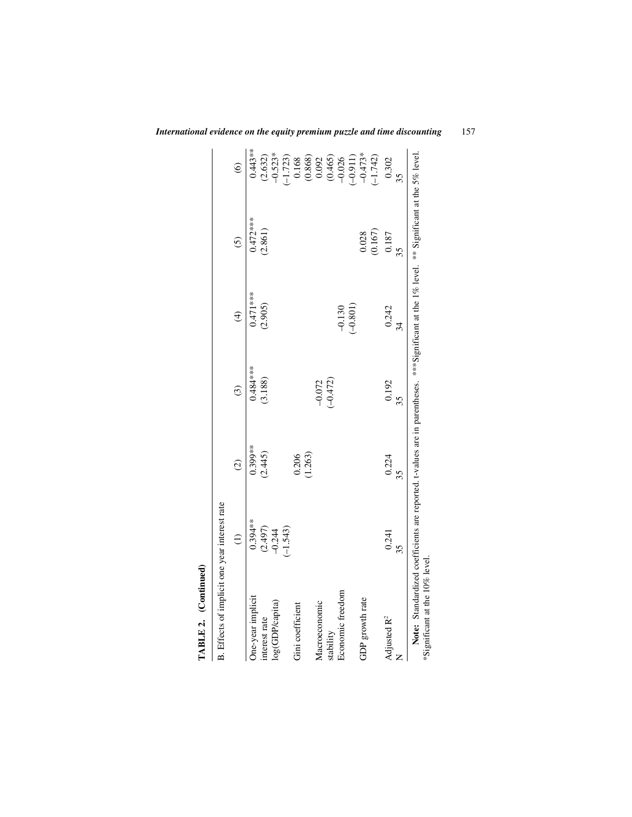| TABLE 2. (Continued)                          |                       |                         |               |                                                                                                                                            |                |                                                                |
|-----------------------------------------------|-----------------------|-------------------------|---------------|--------------------------------------------------------------------------------------------------------------------------------------------|----------------|----------------------------------------------------------------|
| B. Effects of implicit one year interest rate |                       |                         |               |                                                                                                                                            |                |                                                                |
|                                               | $\bigoplus$           | $\widehat{c}$           | $\widehat{c}$ | $\widehat{t}$                                                                                                                              | $\overline{5}$ | $\odot$                                                        |
| One-year implicit                             | $0.394**$             | $0.399**$               | 0.484 ***     | $0.471***$                                                                                                                                 | $0.472***$     | $0.443**$                                                      |
| interest rate                                 |                       | (2.445)                 | (3.188)       | (2.905)                                                                                                                                    | (2.861)        | (2.632)                                                        |
| log(GDP/capita)                               | $(2.497)$<br>$-0.244$ |                         |               |                                                                                                                                            |                | $-0.523*$                                                      |
|                                               | $-1.543$              |                         |               |                                                                                                                                            |                | $(-1.723)$                                                     |
| Gini coefficient                              |                       |                         |               |                                                                                                                                            |                |                                                                |
|                                               |                       | $\frac{0.206}{(1.263)}$ |               |                                                                                                                                            |                |                                                                |
| Macroeconomic                                 |                       |                         | $-0.072$      |                                                                                                                                            |                |                                                                |
| stability                                     |                       |                         | $(-0.472)$    |                                                                                                                                            |                | $0.168$<br>$0.868$<br>$0.092$<br>$0.465$<br>$0.465$<br>$0.026$ |
| Economic freedom                              |                       |                         |               | $-0.130$                                                                                                                                   |                |                                                                |
|                                               |                       |                         |               | $(-0.801)$                                                                                                                                 |                | $(-0.911)$                                                     |
| GDP growth rate                               |                       |                         |               |                                                                                                                                            | 0.028          | $-0.473*$                                                      |
|                                               |                       |                         |               |                                                                                                                                            | (0.167)        | $-1.742$                                                       |
| Adjusted R <sup>2</sup>                       | 0.241                 | 0.224                   | 0.192         | 0.242                                                                                                                                      | 0.187          | 0.302                                                          |
| z                                             | 35                    | 35                      | 35            | 34                                                                                                                                         | 35             | 35                                                             |
| *Significant at the 10% level.                |                       |                         |               | Note: Standardized coefficients are reported. t-values are in parentheses. ***Significant at the 1% level. ** Significant at the 5% level. |                |                                                                |

| ċ |
|---|
| ľ |
|   |
|   |
| E |
|   |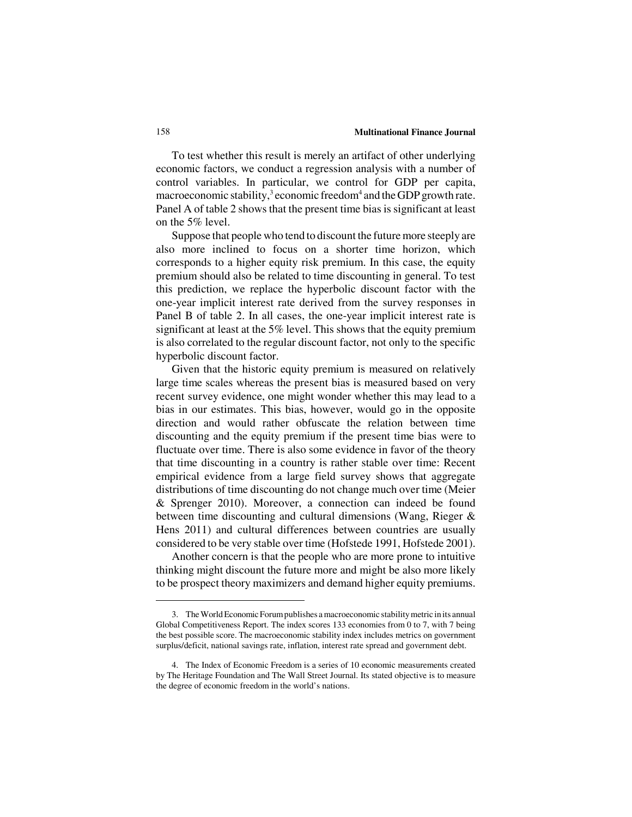#### 158 **Multinational Finance Journal**

To test whether this result is merely an artifact of other underlying economic factors, we conduct a regression analysis with a number of control variables. In particular, we control for GDP per capita, macroeconomic stability,<sup>3</sup> economic freedom<sup>4</sup> and the GDP growth rate. Panel A of table 2 shows that the present time bias is significant at least on the 5% level.

Suppose that people who tend to discount the future more steeply are also more inclined to focus on a shorter time horizon, which corresponds to a higher equity risk premium. In this case, the equity premium should also be related to time discounting in general. To test this prediction, we replace the hyperbolic discount factor with the one-year implicit interest rate derived from the survey responses in Panel B of table 2. In all cases, the one-year implicit interest rate is significant at least at the 5% level. This shows that the equity premium is also correlated to the regular discount factor, not only to the specific hyperbolic discount factor.

Given that the historic equity premium is measured on relatively large time scales whereas the present bias is measured based on very recent survey evidence, one might wonder whether this may lead to a bias in our estimates. This bias, however, would go in the opposite direction and would rather obfuscate the relation between time discounting and the equity premium if the present time bias were to fluctuate over time. There is also some evidence in favor of the theory that time discounting in a country is rather stable over time: Recent empirical evidence from a large field survey shows that aggregate distributions of time discounting do not change much over time (Meier & Sprenger 2010). Moreover, a connection can indeed be found between time discounting and cultural dimensions (Wang, Rieger & Hens 2011) and cultural differences between countries are usually considered to be very stable over time (Hofstede 1991, Hofstede 2001).

Another concern is that the people who are more prone to intuitive thinking might discount the future more and might be also more likely to be prospect theory maximizers and demand higher equity premiums.

<sup>3.</sup> The World Economic Forum publishes a macroeconomic stability metric in its annual Global Competitiveness Report. The index scores 133 economies from 0 to 7, with 7 being the best possible score. The macroeconomic stability index includes metrics on government surplus/deficit, national savings rate, inflation, interest rate spread and government debt.

<sup>4.</sup> The Index of Economic Freedom is a series of 10 economic measurements created by The Heritage Foundation and The Wall Street Journal. Its stated objective is to measure the degree of economic freedom in the world's nations.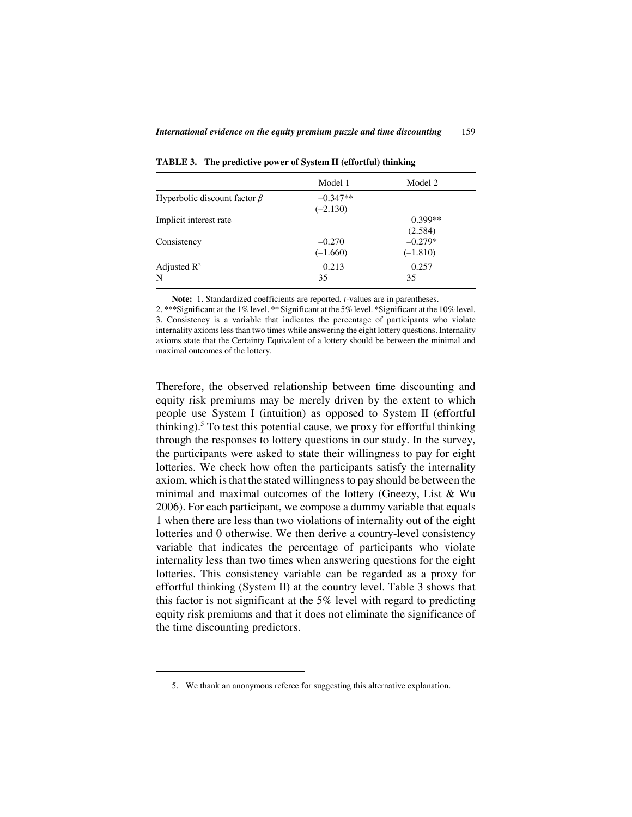|                                    | Model 1                  | Model 2                 |
|------------------------------------|--------------------------|-------------------------|
| Hyperbolic discount factor $\beta$ | $-0.347**$<br>$(-2.130)$ |                         |
| Implicit interest rate             |                          | $0.399**$<br>(2.584)    |
| Consistency                        | $-0.270$<br>$(-1.660)$   | $-0.279*$<br>$(-1.810)$ |
| Adjusted $\mathbb{R}^2$<br>N       | 0.213<br>35              | 0.257<br>35             |

**TABLE 3. The predictive power of System II (effortful) thinking**

**Note:** 1. Standardized coefficients are reported. *t*-values are in parentheses.

2. \*\*\*Significant at the 1% level. \*\* Significant at the 5% level. \*Significant at the 10% level. 3. Consistency is a variable that indicates the percentage of participants who violate internality axioms less than two times while answering the eight lottery questions. Internality axioms state that the Certainty Equivalent of a lottery should be between the minimal and maximal outcomes of the lottery.

Therefore, the observed relationship between time discounting and equity risk premiums may be merely driven by the extent to which people use System I (intuition) as opposed to System II (effortful thinking).<sup>5</sup> To test this potential cause, we proxy for effortful thinking through the responses to lottery questions in our study. In the survey, the participants were asked to state their willingness to pay for eight lotteries. We check how often the participants satisfy the internality axiom, which is that the stated willingness to pay should be between the minimal and maximal outcomes of the lottery (Gneezy, List & Wu 2006). For each participant, we compose a dummy variable that equals 1 when there are less than two violations of internality out of the eight lotteries and 0 otherwise. We then derive a country-level consistency variable that indicates the percentage of participants who violate internality less than two times when answering questions for the eight lotteries. This consistency variable can be regarded as a proxy for effortful thinking (System II) at the country level. Table 3 shows that this factor is not significant at the 5% level with regard to predicting equity risk premiums and that it does not eliminate the significance of the time discounting predictors.

<sup>5.</sup> We thank an anonymous referee for suggesting this alternative explanation.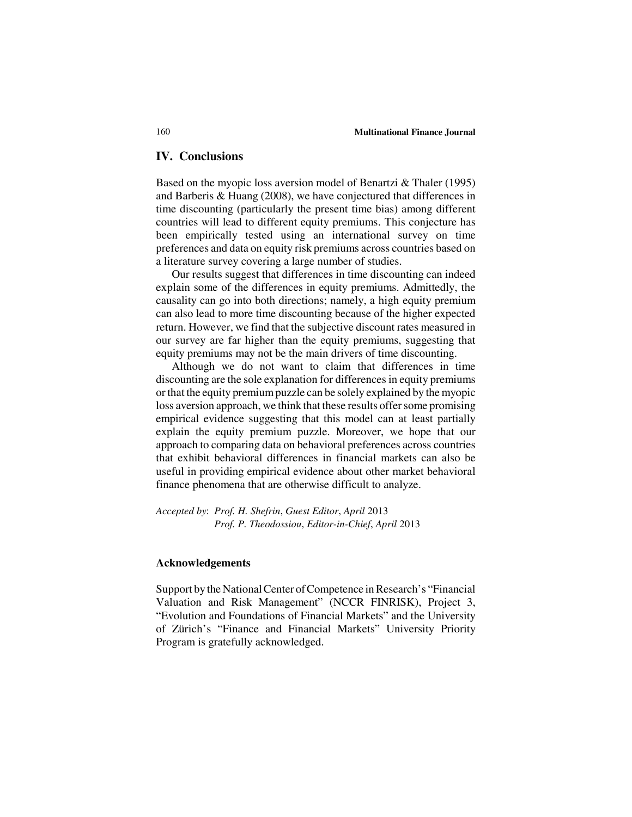## **IV. Conclusions**

Based on the myopic loss aversion model of Benartzi & Thaler (1995) and Barberis & Huang (2008), we have conjectured that differences in time discounting (particularly the present time bias) among different countries will lead to different equity premiums. This conjecture has been empirically tested using an international survey on time preferences and data on equity risk premiums across countries based on a literature survey covering a large number of studies.

Our results suggest that differences in time discounting can indeed explain some of the differences in equity premiums. Admittedly, the causality can go into both directions; namely, a high equity premium can also lead to more time discounting because of the higher expected return. However, we find that the subjective discount rates measured in our survey are far higher than the equity premiums, suggesting that equity premiums may not be the main drivers of time discounting.

Although we do not want to claim that differences in time discounting are the sole explanation for differences in equity premiums or that the equity premium puzzle can be solely explained by the myopic loss aversion approach, we think that these results offer some promising empirical evidence suggesting that this model can at least partially explain the equity premium puzzle. Moreover, we hope that our approach to comparing data on behavioral preferences across countries that exhibit behavioral differences in financial markets can also be useful in providing empirical evidence about other market behavioral finance phenomena that are otherwise difficult to analyze.

*Accepted by*: *Prof. H. Shefrin*, *Guest Editor*, *April* 2013  *Prof. P. Theodossiou*, *Editor-in-Chief*, *April* 2013

#### **Acknowledgements**

Support by the National Center of Competence in Research's "Financial Valuation and Risk Management" (NCCR FINRISK), Project 3, "Evolution and Foundations of Financial Markets" and the University of Zürich's "Finance and Financial Markets" University Priority Program is gratefully acknowledged.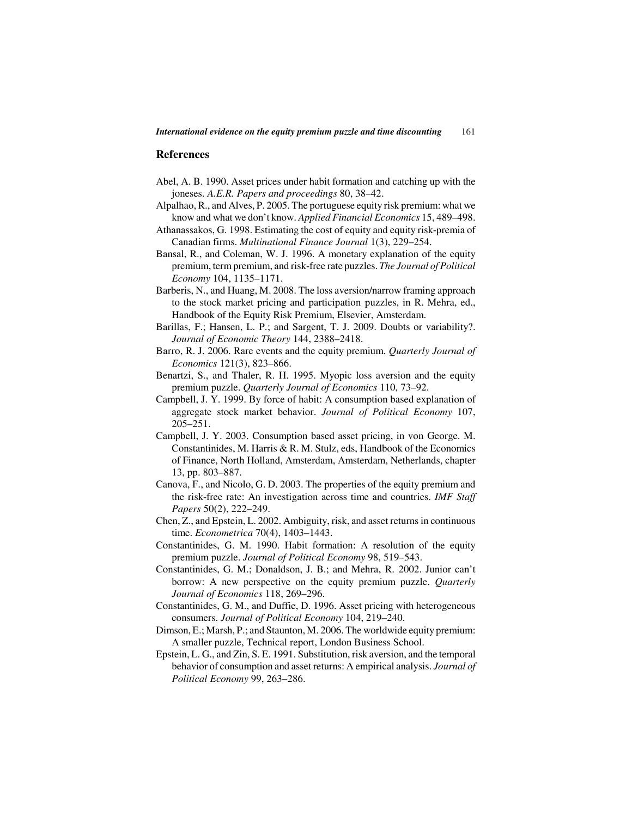#### **References**

- Abel, A. B. 1990. Asset prices under habit formation and catching up with the joneses. *A.E.R. Papers and proceedings* 80, 38–42.
- Alpalhao, R., and Alves, P. 2005. The portuguese equity risk premium: what we know and what we don't know. *Applied Financial Economics* 15, 489–498.
- Athanassakos, G. 1998. Estimating the cost of equity and equity risk-premia of Canadian firms. *Multinational Finance Journal* 1(3), 229–254.
- Bansal, R., and Coleman, W. J. 1996. A monetary explanation of the equity premium, term premium, and risk-free rate puzzles. *The Journal of Political Economy* 104, 1135–1171.
- Barberis, N., and Huang, M. 2008. The loss aversion/narrow framing approach to the stock market pricing and participation puzzles, in R. Mehra, ed., Handbook of the Equity Risk Premium, Elsevier, Amsterdam.
- Barillas, F.; Hansen, L. P.; and Sargent, T. J. 2009. Doubts or variability?. *Journal of Economic Theory* 144, 2388–2418.
- Barro, R. J. 2006. Rare events and the equity premium. *Quarterly Journal of Economics* 121(3), 823–866.
- Benartzi, S., and Thaler, R. H. 1995. Myopic loss aversion and the equity premium puzzle. *Quarterly Journal of Economics* 110, 73–92.
- Campbell, J. Y. 1999. By force of habit: A consumption based explanation of aggregate stock market behavior. *Journal of Political Economy* 107, 205–251.
- Campbell, J. Y. 2003. Consumption based asset pricing, in von George. M. Constantinides, M. Harris & R. M. Stulz, eds, Handbook of the Economics of Finance, North Holland, Amsterdam, Amsterdam, Netherlands, chapter 13, pp. 803–887.
- Canova, F., and Nicolo, G. D. 2003. The properties of the equity premium and the risk-free rate: An investigation across time and countries. *IMF Staff Papers* 50(2), 222–249.
- Chen, Z., and Epstein, L. 2002. Ambiguity, risk, and asset returns in continuous time. *Econometrica* 70(4), 1403–1443.
- Constantinides, G. M. 1990. Habit formation: A resolution of the equity premium puzzle. *Journal of Political Economy* 98, 519–543.
- Constantinides, G. M.; Donaldson, J. B.; and Mehra, R. 2002. Junior can't borrow: A new perspective on the equity premium puzzle. *Quarterly Journal of Economics* 118, 269–296.
- Constantinides, G. M., and Duffie, D. 1996. Asset pricing with heterogeneous consumers. *Journal of Political Economy* 104, 219–240.
- Dimson, E.; Marsh, P.; and Staunton, M. 2006. The worldwide equity premium: A smaller puzzle, Technical report, London Business School.
- Epstein, L. G., and Zin, S. E. 1991. Substitution, risk aversion, and the temporal behavior of consumption and asset returns: A empirical analysis. *Journal of Political Economy* 99, 263–286.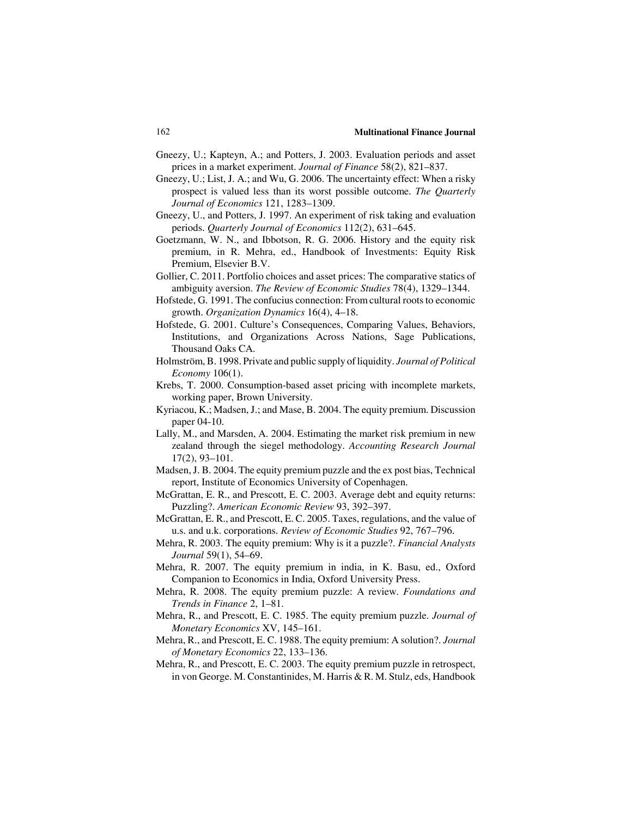- Gneezy, U.; Kapteyn, A.; and Potters, J. 2003. Evaluation periods and asset prices in a market experiment. *Journal of Finance* 58(2), 821–837.
- Gneezy, U.; List, J. A.; and Wu, G. 2006. The uncertainty effect: When a risky prospect is valued less than its worst possible outcome. *The Quarterly Journal of Economics* 121, 1283–1309.
- Gneezy, U., and Potters, J. 1997. An experiment of risk taking and evaluation periods. *Quarterly Journal of Economics* 112(2), 631–645.
- Goetzmann, W. N., and Ibbotson, R. G. 2006. History and the equity risk premium, in R. Mehra, ed., Handbook of Investments: Equity Risk Premium, Elsevier B.V.
- Gollier, C. 2011. Portfolio choices and asset prices: The comparative statics of ambiguity aversion. *The Review of Economic Studies* 78(4), 1329–1344.
- Hofstede, G. 1991. The confucius connection: From cultural roots to economic growth. *Organization Dynamics* 16(4), 4–18.
- Hofstede, G. 2001. Culture's Consequences, Comparing Values, Behaviors, Institutions, and Organizations Across Nations, Sage Publications, Thousand Oaks CA.
- Holmström, B. 1998. Private and public supply of liquidity. *Journal of Political Economy* 106(1).
- Krebs, T. 2000. Consumption-based asset pricing with incomplete markets, working paper, Brown University.
- Kyriacou, K.; Madsen, J.; and Mase, B. 2004. The equity premium. Discussion paper 04-10.
- Lally, M., and Marsden, A. 2004. Estimating the market risk premium in new zealand through the siegel methodology. *Accounting Research Journal* 17(2), 93–101.
- Madsen, J. B. 2004. The equity premium puzzle and the ex post bias, Technical report, Institute of Economics University of Copenhagen.
- McGrattan, E. R., and Prescott, E. C. 2003. Average debt and equity returns: Puzzling?. *American Economic Review* 93, 392–397.
- McGrattan, E. R., and Prescott, E. C. 2005. Taxes, regulations, and the value of u.s. and u.k. corporations. *Review of Economic Studies* 92, 767–796.
- Mehra, R. 2003. The equity premium: Why is it a puzzle?. *Financial Analysts Journal* 59(1), 54–69.
- Mehra, R. 2007. The equity premium in india, in K. Basu, ed., Oxford Companion to Economics in India, Oxford University Press.
- Mehra, R. 2008. The equity premium puzzle: A review. *Foundations and Trends in Finance* 2, 1–81.
- Mehra, R., and Prescott, E. C. 1985. The equity premium puzzle. *Journal of Monetary Economics* XV, 145–161.
- Mehra, R., and Prescott, E. C. 1988. The equity premium: A solution?. *Journal of Monetary Economics* 22, 133–136.
- Mehra, R., and Prescott, E. C. 2003. The equity premium puzzle in retrospect, in von George. M. Constantinides, M. Harris & R. M. Stulz, eds, Handbook